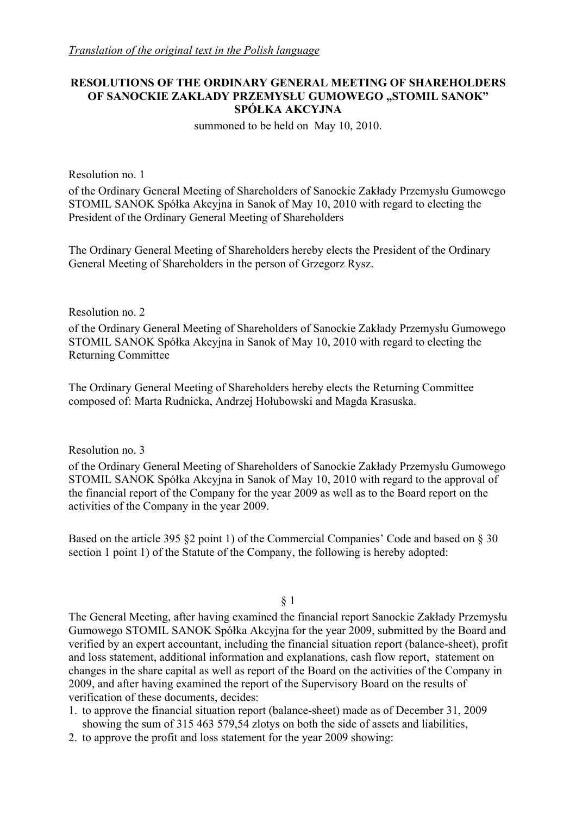## **RESOLUTIONS OF THE ORDINARY GENERAL MEETING OF SHAREHOLDERS OF SANOCKIE ZAKŁADY PRZEMYSŁU GUMOWEGO "STOMIL SANOK" SPÓŁKA AKCYJNA**

summoned to be held on May 10, 2010.

Resolution no. 1

of the Ordinary General Meeting of Shareholders of Sanockie Zakłady Przemysłu Gumowego STOMIL SANOK Spółka Akcyjna in Sanok of May 10, 2010 with regard to electing the President of the Ordinary General Meeting of Shareholders

The Ordinary General Meeting of Shareholders hereby elects the President of the Ordinary General Meeting of Shareholders in the person of Grzegorz Rysz.

Resolution no. 2

of the Ordinary General Meeting of Shareholders of Sanockie Zakłady Przemysłu Gumowego STOMIL SANOK Spółka Akcyjna in Sanok of May 10, 2010 with regard to electing the Returning Committee

The Ordinary General Meeting of Shareholders hereby elects the Returning Committee composed of: Marta Rudnicka, Andrzej Hołubowski and Magda Krasuska.

Resolution no. 3

of the Ordinary General Meeting of Shareholders of Sanockie Zakłady Przemysłu Gumowego STOMIL SANOK Spółka Akcyjna in Sanok of May 10, 2010 with regard to the approval of the financial report of the Company for the year 2009 as well as to the Board report on the activities of the Company in the year 2009.

Based on the article 395 §2 point 1) of the Commercial Companies' Code and based on § 30 section 1 point 1) of the Statute of the Company, the following is hereby adopted:

§ 1

The General Meeting, after having examined the financial report Sanockie Zakłady Przemysłu Gumowego STOMIL SANOK Spółka Akcyjna for the year 2009, submitted by the Board and verified by an expert accountant, including the financial situation report (balance-sheet), profit and loss statement, additional information and explanations, cash flow report, statement on changes in the share capital as well as report of the Board on the activities of the Company in 2009, and after having examined the report of the Supervisory Board on the results of verification of these documents, decides:

- 1. to approve the financial situation report (balance-sheet) made as of December 31, 2009 showing the sum of 315 463 579,54 zlotys on both the side of assets and liabilities,
- 2. to approve the profit and loss statement for the year 2009 showing: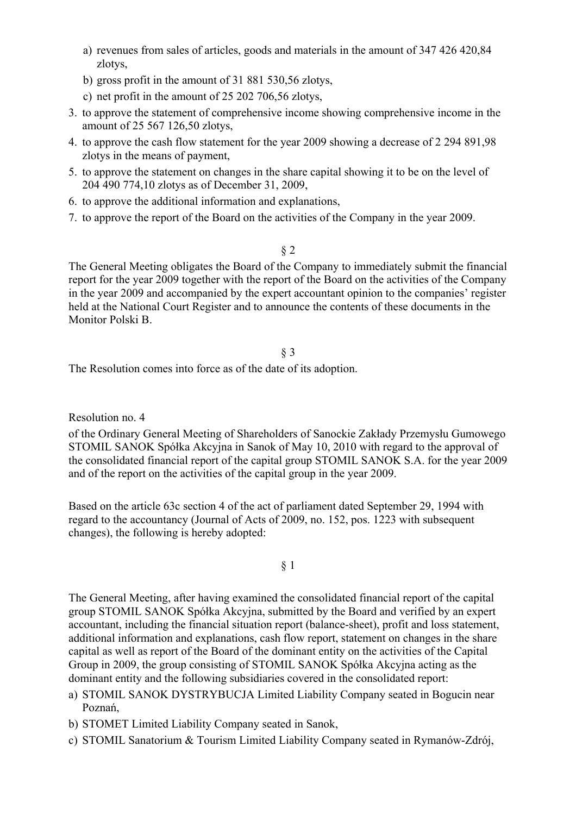- a) revenues from sales of articles, goods and materials in the amount of 347 426 420,84 zlotys,
- b) gross profit in the amount of 31 881 530,56 zlotys,
- c) net profit in the amount of 25 202 706,56 zlotys,
- 3. to approve the statement of comprehensive income showing comprehensive income in the amount of 25 567 126,50 zlotys,
- 4. to approve the cash flow statement for the year 2009 showing a decrease of 2 294 891,98 zlotys in the means of payment,
- 5. to approve the statement on changes in the share capital showing it to be on the level of 204 490 774,10 zlotys as of December 31, 2009,
- 6. to approve the additional information and explanations,
- 7. to approve the report of the Board on the activities of the Company in the year 2009.

## § 2

The General Meeting obligates the Board of the Company to immediately submit the financial report for the year 2009 together with the report of the Board on the activities of the Company in the year 2009 and accompanied by the expert accountant opinion to the companies' register held at the National Court Register and to announce the contents of these documents in the Monitor Polski B.

#### § 3

The Resolution comes into force as of the date of its adoption.

Resolution no. 4

of the Ordinary General Meeting of Shareholders of Sanockie Zakłady Przemysłu Gumowego STOMIL SANOK Spółka Akcyjna in Sanok of May 10, 2010 with regard to the approval of the consolidated financial report of the capital group STOMIL SANOK S.A. for the year 2009 and of the report on the activities of the capital group in the year 2009.

Based on the article 63c section 4 of the act of parliament dated September 29, 1994 with regard to the accountancy (Journal of Acts of 2009, no. 152, pos. 1223 with subsequent changes), the following is hereby adopted:

### § 1

The General Meeting, after having examined the consolidated financial report of the capital group STOMIL SANOK Spółka Akcyjna, submitted by the Board and verified by an expert accountant, including the financial situation report (balance-sheet), profit and loss statement, additional information and explanations, cash flow report, statement on changes in the share capital as well as report of the Board of the dominant entity on the activities of the Capital Group in 2009, the group consisting of STOMIL SANOK Spółka Akcyjna acting as the dominant entity and the following subsidiaries covered in the consolidated report:

- a) STOMIL SANOK DYSTRYBUCJA Limited Liability Company seated in Bogucin near Poznań,
- b) STOMET Limited Liability Company seated in Sanok,
- c) STOMIL Sanatorium & Tourism Limited Liability Company seated in Rymanów-Zdrój,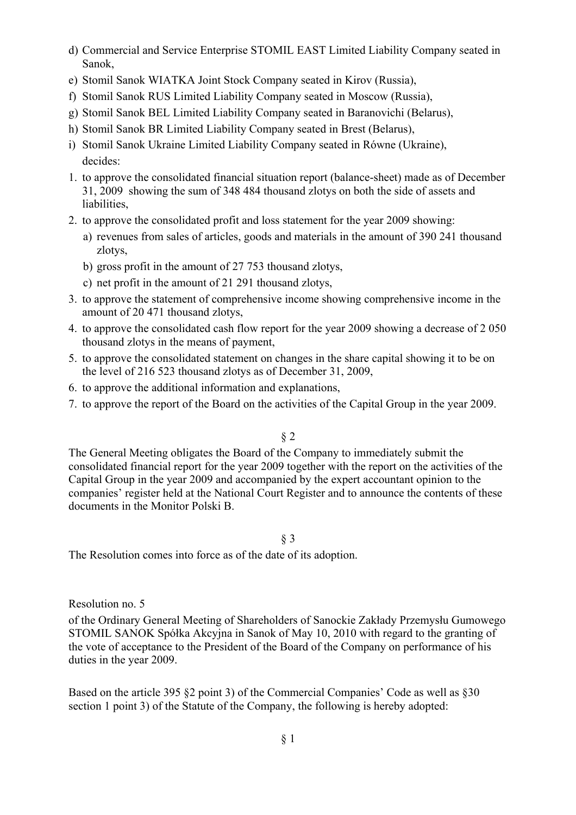- d) Commercial and Service Enterprise STOMIL EAST Limited Liability Company seated in Sanok,
- e) Stomil Sanok WIATKA Joint Stock Company seated in Kirov (Russia),
- f) Stomil Sanok RUS Limited Liability Company seated in Moscow (Russia),
- g) Stomil Sanok BEL Limited Liability Company seated in Baranovichi (Belarus),
- h) Stomil Sanok BR Limited Liability Company seated in Brest (Belarus),
- i) Stomil Sanok Ukraine Limited Liability Company seated in Równe (Ukraine), decides:
- 1. to approve the consolidated financial situation report (balance-sheet) made as of December 31, 2009 showing the sum of 348 484 thousand zlotys on both the side of assets and liabilities,
- 2. to approve the consolidated profit and loss statement for the year 2009 showing:
	- a) revenues from sales of articles, goods and materials in the amount of 390 241 thousand zlotys,
	- b) gross profit in the amount of 27 753 thousand zlotys,
	- c) net profit in the amount of 21 291 thousand zlotys,
- 3. to approve the statement of comprehensive income showing comprehensive income in the amount of 20 471 thousand zlotys,
- 4. to approve the consolidated cash flow report for the year 2009 showing a decrease of 2 050 thousand zlotys in the means of payment,
- 5. to approve the consolidated statement on changes in the share capital showing it to be on the level of 216 523 thousand zlotys as of December 31, 2009,
- 6. to approve the additional information and explanations,
- 7. to approve the report of the Board on the activities of the Capital Group in the year 2009.

§ 2

The General Meeting obligates the Board of the Company to immediately submit the consolidated financial report for the year 2009 together with the report on the activities of the Capital Group in the year 2009 and accompanied by the expert accountant opinion to the companies' register held at the National Court Register and to announce the contents of these documents in the Monitor Polski B.

§ 3

The Resolution comes into force as of the date of its adoption.

Resolution no. 5

of the Ordinary General Meeting of Shareholders of Sanockie Zakłady Przemysłu Gumowego STOMIL SANOK Spółka Akcyjna in Sanok of May 10, 2010 with regard to the granting of the vote of acceptance to the President of the Board of the Company on performance of his duties in the year 2009.

Based on the article 395 §2 point 3) of the Commercial Companies' Code as well as §30 section 1 point 3) of the Statute of the Company, the following is hereby adopted: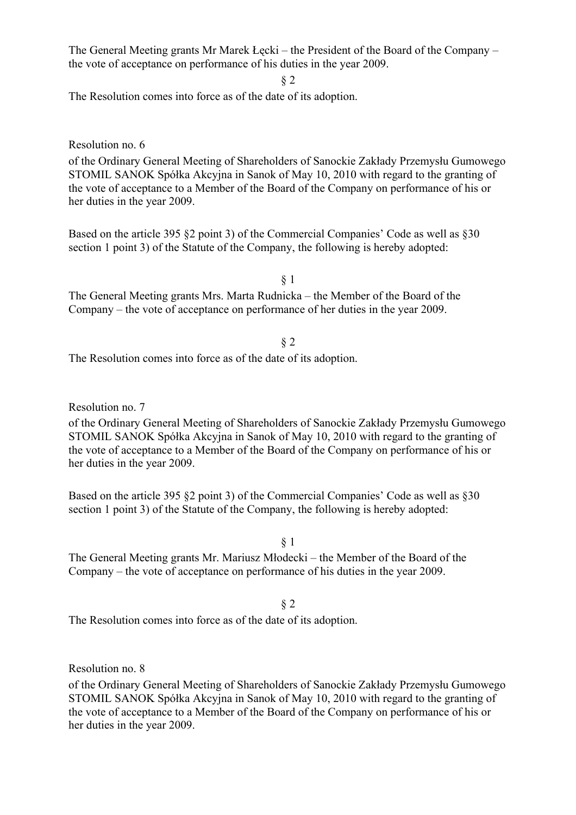The General Meeting grants Mr Marek Łęcki – the President of the Board of the Company – the vote of acceptance on performance of his duties in the year 2009.

§ 2

The Resolution comes into force as of the date of its adoption.

Resolution no. 6

of the Ordinary General Meeting of Shareholders of Sanockie Zakłady Przemysłu Gumowego STOMIL SANOK Spółka Akcyjna in Sanok of May 10, 2010 with regard to the granting of the vote of acceptance to a Member of the Board of the Company on performance of his or her duties in the year 2009.

Based on the article 395 §2 point 3) of the Commercial Companies' Code as well as §30 section 1 point 3) of the Statute of the Company, the following is hereby adopted:

§ 1

The General Meeting grants Mrs. Marta Rudnicka – the Member of the Board of the Company – the vote of acceptance on performance of her duties in the year 2009.

#### § 2

The Resolution comes into force as of the date of its adoption.

Resolution no. 7

of the Ordinary General Meeting of Shareholders of Sanockie Zakłady Przemysłu Gumowego STOMIL SANOK Spółka Akcyjna in Sanok of May 10, 2010 with regard to the granting of the vote of acceptance to a Member of the Board of the Company on performance of his or her duties in the year 2009.

Based on the article 395 §2 point 3) of the Commercial Companies' Code as well as §30 section 1 point 3) of the Statute of the Company, the following is hereby adopted:

§ 1

The General Meeting grants Mr. Mariusz Młodecki – the Member of the Board of the Company – the vote of acceptance on performance of his duties in the year 2009.

§ 2

The Resolution comes into force as of the date of its adoption.

Resolution no. 8

of the Ordinary General Meeting of Shareholders of Sanockie Zakłady Przemysłu Gumowego STOMIL SANOK Spółka Akcyjna in Sanok of May 10, 2010 with regard to the granting of the vote of acceptance to a Member of the Board of the Company on performance of his or her duties in the year 2009.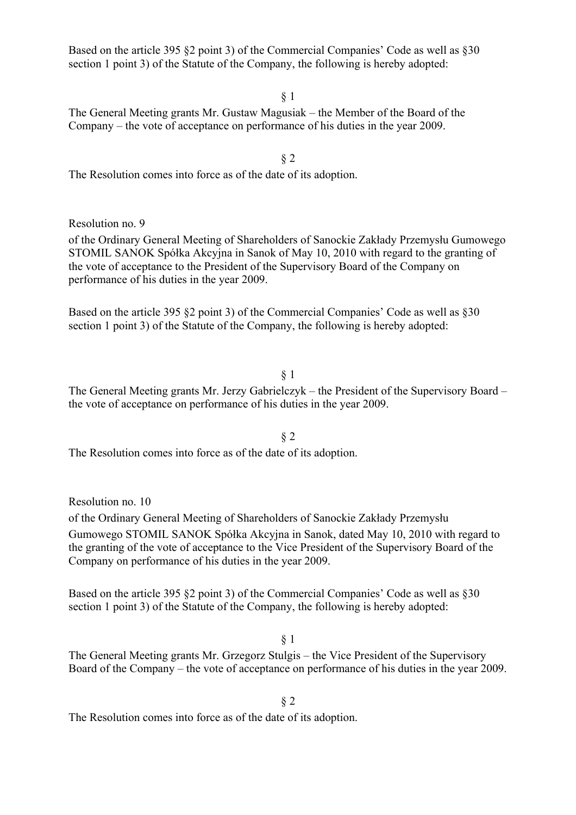§ 1

§ 2

The General Meeting grants Mr. Gustaw Magusiak – the Member of the Board of the Company – the vote of acceptance on performance of his duties in the year 2009.

The Resolution comes into force as of the date of its adoption.

Resolution no. 9

of the Ordinary General Meeting of Shareholders of Sanockie Zakłady Przemysłu Gumowego STOMIL SANOK Spółka Akcyjna in Sanok of May 10, 2010 with regard to the granting of the vote of acceptance to the President of the Supervisory Board of the Company on performance of his duties in the year 2009.

Based on the article 395 §2 point 3) of the Commercial Companies' Code as well as §30 section 1 point 3) of the Statute of the Company, the following is hereby adopted:

§ 1

The General Meeting grants Mr. Jerzy Gabrielczyk – the President of the Supervisory Board – the vote of acceptance on performance of his duties in the year 2009.

§ 2

The Resolution comes into force as of the date of its adoption.

Resolution no. 10

of the Ordinary General Meeting of Shareholders of Sanockie Zakłady Przemysłu Gumowego STOMIL SANOK Spółka Akcyjna in Sanok, dated May 10, 2010 with regard to the granting of the vote of acceptance to the Vice President of the Supervisory Board of the Company on performance of his duties in the year 2009.

Based on the article 395 §2 point 3) of the Commercial Companies' Code as well as §30 section 1 point 3) of the Statute of the Company, the following is hereby adopted:

§ 1

The General Meeting grants Mr. Grzegorz Stulgis – the Vice President of the Supervisory Board of the Company – the vote of acceptance on performance of his duties in the year 2009.

§ 2

The Resolution comes into force as of the date of its adoption.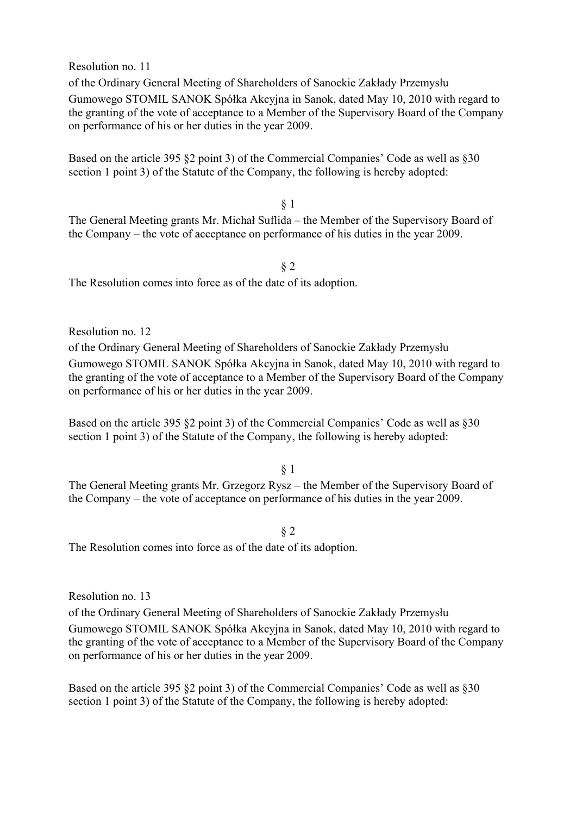Resolution no. 11

of the Ordinary General Meeting of Shareholders of Sanockie Zakłady Przemysłu Gumowego STOMIL SANOK Spółka Akcyjna in Sanok, dated May 10, 2010 with regard to the granting of the vote of acceptance to a Member of the Supervisory Board of the Company on performance of his or her duties in the year 2009.

Based on the article 395 §2 point 3) of the Commercial Companies' Code as well as §30 section 1 point 3) of the Statute of the Company, the following is hereby adopted:

§ 1

The General Meeting grants Mr. Michał Suflida – the Member of the Supervisory Board of the Company – the vote of acceptance on performance of his duties in the year 2009.

§ 2

The Resolution comes into force as of the date of its adoption.

Resolution no. 12

of the Ordinary General Meeting of Shareholders of Sanockie Zakłady Przemysłu Gumowego STOMIL SANOK Spółka Akcyjna in Sanok, dated May 10, 2010 with regard to the granting of the vote of acceptance to a Member of the Supervisory Board of the Company on performance of his or her duties in the year 2009.

Based on the article 395 §2 point 3) of the Commercial Companies' Code as well as §30 section 1 point 3) of the Statute of the Company, the following is hereby adopted:

§ 1

The General Meeting grants Mr. Grzegorz Rysz – the Member of the Supervisory Board of the Company – the vote of acceptance on performance of his duties in the year 2009.

§ 2

The Resolution comes into force as of the date of its adoption.

Resolution no. 13

of the Ordinary General Meeting of Shareholders of Sanockie Zakłady Przemysłu

Gumowego STOMIL SANOK Spółka Akcyjna in Sanok, dated May 10, 2010 with regard to the granting of the vote of acceptance to a Member of the Supervisory Board of the Company on performance of his or her duties in the year 2009.

Based on the article 395 §2 point 3) of the Commercial Companies' Code as well as §30 section 1 point 3) of the Statute of the Company, the following is hereby adopted: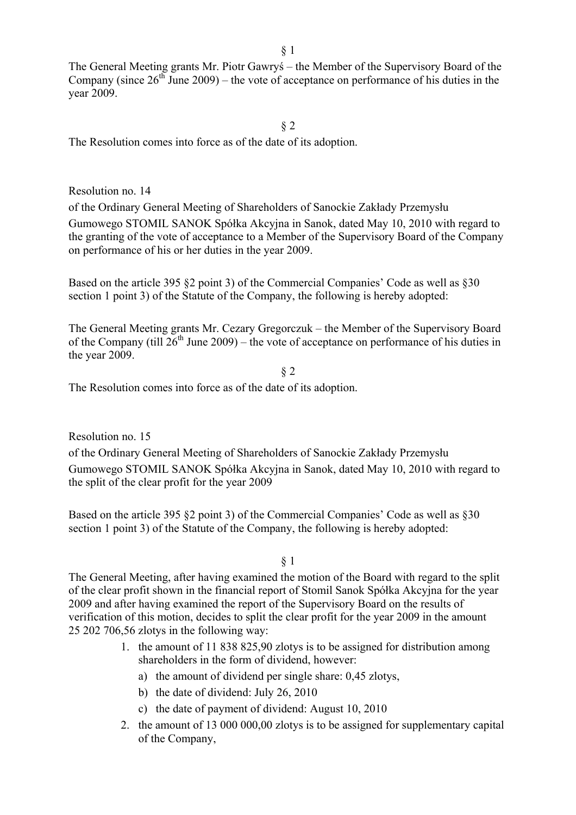The General Meeting grants Mr. Piotr Gawryś – the Member of the Supervisory Board of the Company (since  $26<sup>th</sup>$  June 2009) – the vote of acceptance on performance of his duties in the year 2009.

#### § 2

The Resolution comes into force as of the date of its adoption.

### Resolution no. 14

of the Ordinary General Meeting of Shareholders of Sanockie Zakłady Przemysłu Gumowego STOMIL SANOK Spółka Akcyjna in Sanok, dated May 10, 2010 with regard to the granting of the vote of acceptance to a Member of the Supervisory Board of the Company on performance of his or her duties in the year 2009.

Based on the article 395 §2 point 3) of the Commercial Companies' Code as well as §30 section 1 point 3) of the Statute of the Company, the following is hereby adopted:

The General Meeting grants Mr. Cezary Gregorczuk – the Member of the Supervisory Board of the Company (till  $26<sup>th</sup>$  June 2009) – the vote of acceptance on performance of his duties in the year 2009.

§ 2

The Resolution comes into force as of the date of its adoption.

Resolution no. 15 of the Ordinary General Meeting of Shareholders of Sanockie Zakłady Przemysłu Gumowego STOMIL SANOK Spółka Akcyjna in Sanok, dated May 10, 2010 with regard to the split of the clear profit for the year 2009

Based on the article 395 §2 point 3) of the Commercial Companies' Code as well as §30 section 1 point 3) of the Statute of the Company, the following is hereby adopted:

§ 1

The General Meeting, after having examined the motion of the Board with regard to the split of the clear profit shown in the financial report of Stomil Sanok Spółka Akcyjna for the year 2009 and after having examined the report of the Supervisory Board on the results of verification of this motion, decides to split the clear profit for the year 2009 in the amount 25 202 706,56 zlotys in the following way:

- 1. the amount of 11 838 825,90 zlotys is to be assigned for distribution among shareholders in the form of dividend, however:
	- a) the amount of dividend per single share: 0,45 zlotys,
	- b) the date of dividend: July 26, 2010
	- c) the date of payment of dividend: August 10, 2010
- 2. the amount of 13 000 000,00 zlotys is to be assigned for supplementary capital of the Company,